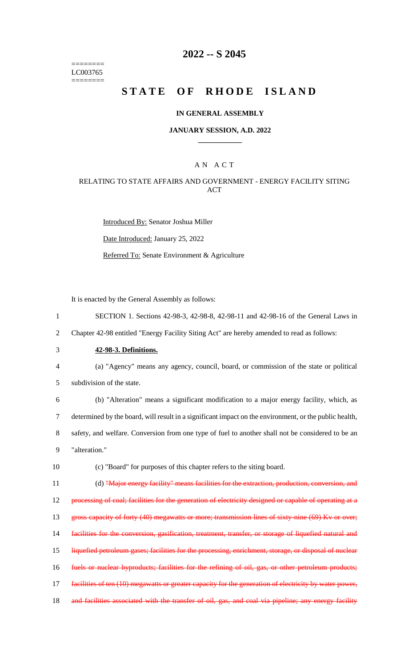======== LC003765 ========

# **2022 -- S 2045**

# **STATE OF RHODE ISLAND**

### **IN GENERAL ASSEMBLY**

### **JANUARY SESSION, A.D. 2022 \_\_\_\_\_\_\_\_\_\_\_\_**

### A N A C T

### RELATING TO STATE AFFAIRS AND GOVERNMENT - ENERGY FACILITY SITING **ACT**

Introduced By: Senator Joshua Miller Date Introduced: January 25, 2022 Referred To: Senate Environment & Agriculture

It is enacted by the General Assembly as follows:

1 SECTION 1. Sections 42-98-3, 42-98-8, 42-98-11 and 42-98-16 of the General Laws in

2 Chapter 42-98 entitled "Energy Facility Siting Act" are hereby amended to read as follows:

- 3 **42-98-3. Definitions.**
- 4 (a) "Agency" means any agency, council, board, or commission of the state or political

5 subdivision of the state.

 (b) "Alteration" means a significant modification to a major energy facility, which, as determined by the board, will result in a significant impact on the environment, or the public health, safety, and welfare. Conversion from one type of fuel to another shall not be considered to be an "alteration."

10 (c) "Board" for purposes of this chapter refers to the siting board.

11 (d) "Major energy facility" means facilities for the extraction, production, conversion, and 12 processing of coal; facilities for the generation of electricity designed or capable of operating at a 13 gross capacity of forty (40) megawatts or more; transmission lines of sixty-nine (69) Kv or over; 14 facilities for the conversion, gasification, treatment, transfer, or storage of liquefied natural and 15 liquefied petroleum gases; facilities for the processing, enrichment, storage, or disposal of nuclear 16 fuels or nuclear byproducts; facilities for the refining of oil, gas, or other petroleum products; 17 facilities of ten (10) megawatts or greater capacity for the generation of electricity by water power, 18 and facilities associated with the transfer of oil, gas, and coal via pipeline; any energy facility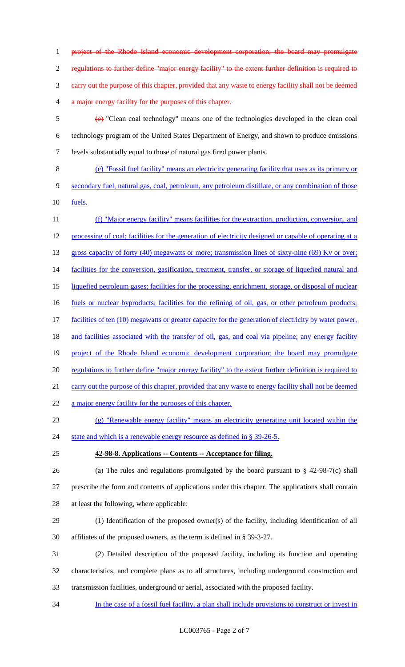project of the Rhode Island economic development corporation; the board may promulgate regulations to further define "major energy facility" to the extent further definition is required to carry out the purpose of this chapter, provided that any waste to energy facility shall not be deemed 4 a major energy facility for the purposes of this chapter.

- (e) "Clean coal technology" means one of the technologies developed in the clean coal technology program of the United States Department of Energy, and shown to produce emissions levels substantially equal to those of natural gas fired power plants.
- (e) "Fossil fuel facility" means an electricity generating facility that uses as its primary or secondary fuel, natural gas, coal, petroleum, any petroleum distillate, or any combination of those fuels.
- (f) "Major energy facility" means facilities for the extraction, production, conversion, and processing of coal; facilities for the generation of electricity designed or capable of operating at a 13 gross capacity of forty (40) megawatts or more; transmission lines of sixty-nine (69) Kv or over; 14 facilities for the conversion, gasification, treatment, transfer, or storage of liquefied natural and liquefied petroleum gases; facilities for the processing, enrichment, storage, or disposal of nuclear fuels or nuclear byproducts; facilities for the refining of oil, gas, or other petroleum products; 17 facilities of ten (10) megawatts or greater capacity for the generation of electricity by water power, 18 and facilities associated with the transfer of oil, gas, and coal via pipeline; any energy facility 19 project of the Rhode Island economic development corporation; the board may promulgate regulations to further define "major energy facility" to the extent further definition is required to carry out the purpose of this chapter, provided that any waste to energy facility shall not be deemed 22 a major energy facility for the purposes of this chapter.
- (g) "Renewable energy facility" means an electricity generating unit located within the
- 24 state and which is a renewable energy resource as defined in § 39-26-5.
- 
- **42-98-8. Applications -- Contents -- Acceptance for filing.**
- (a) The rules and regulations promulgated by the board pursuant to § 42-98-7(c) shall prescribe the form and contents of applications under this chapter. The applications shall contain at least the following, where applicable:
- (1) Identification of the proposed owner(s) of the facility, including identification of all affiliates of the proposed owners, as the term is defined in § 39-3-27.
- (2) Detailed description of the proposed facility, including its function and operating characteristics, and complete plans as to all structures, including underground construction and transmission facilities, underground or aerial, associated with the proposed facility.
- In the case of a fossil fuel facility, a plan shall include provisions to construct or invest in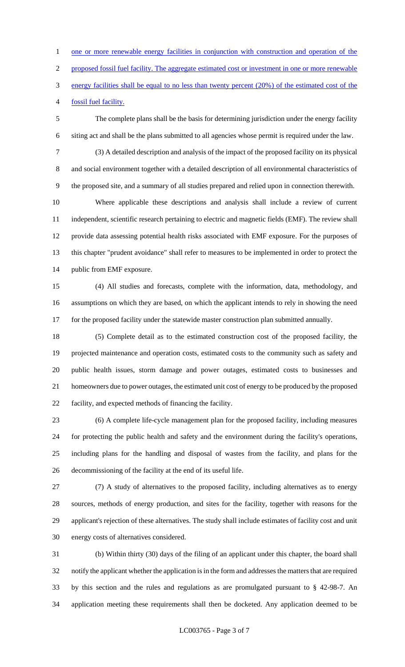1 one or more renewable energy facilities in conjunction with construction and operation of the proposed fossil fuel facility. The aggregate estimated cost or investment in one or more renewable energy facilities shall be equal to no less than twenty percent (20%) of the estimated cost of the fossil fuel facility.

 The complete plans shall be the basis for determining jurisdiction under the energy facility siting act and shall be the plans submitted to all agencies whose permit is required under the law.

 (3) A detailed description and analysis of the impact of the proposed facility on its physical and social environment together with a detailed description of all environmental characteristics of the proposed site, and a summary of all studies prepared and relied upon in connection therewith.

 Where applicable these descriptions and analysis shall include a review of current independent, scientific research pertaining to electric and magnetic fields (EMF). The review shall provide data assessing potential health risks associated with EMF exposure. For the purposes of this chapter "prudent avoidance" shall refer to measures to be implemented in order to protect the public from EMF exposure.

 (4) All studies and forecasts, complete with the information, data, methodology, and assumptions on which they are based, on which the applicant intends to rely in showing the need for the proposed facility under the statewide master construction plan submitted annually.

 (5) Complete detail as to the estimated construction cost of the proposed facility, the projected maintenance and operation costs, estimated costs to the community such as safety and public health issues, storm damage and power outages, estimated costs to businesses and homeowners due to power outages, the estimated unit cost of energy to be produced by the proposed facility, and expected methods of financing the facility.

 (6) A complete life-cycle management plan for the proposed facility, including measures for protecting the public health and safety and the environment during the facility's operations, including plans for the handling and disposal of wastes from the facility, and plans for the decommissioning of the facility at the end of its useful life.

 (7) A study of alternatives to the proposed facility, including alternatives as to energy sources, methods of energy production, and sites for the facility, together with reasons for the applicant's rejection of these alternatives. The study shall include estimates of facility cost and unit energy costs of alternatives considered.

 (b) Within thirty (30) days of the filing of an applicant under this chapter, the board shall notify the applicant whether the application is in the form and addresses the matters that are required by this section and the rules and regulations as are promulgated pursuant to § 42-98-7. An application meeting these requirements shall then be docketed. Any application deemed to be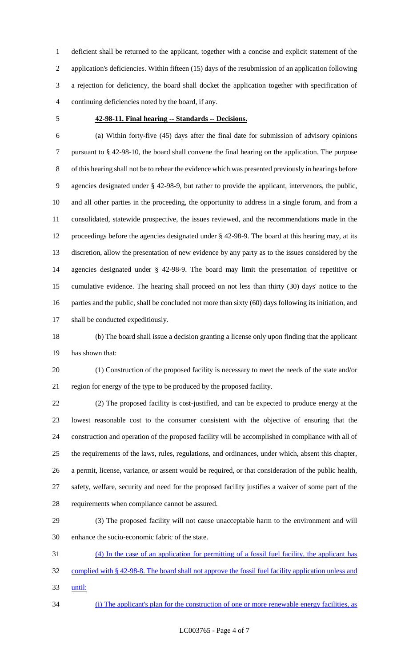deficient shall be returned to the applicant, together with a concise and explicit statement of the application's deficiencies. Within fifteen (15) days of the resubmission of an application following a rejection for deficiency, the board shall docket the application together with specification of continuing deficiencies noted by the board, if any.

#### **42-98-11. Final hearing -- Standards -- Decisions.**

 (a) Within forty-five (45) days after the final date for submission of advisory opinions pursuant to § 42-98-10, the board shall convene the final hearing on the application. The purpose of this hearing shall not be to rehear the evidence which was presented previously in hearings before agencies designated under § 42-98-9, but rather to provide the applicant, intervenors, the public, and all other parties in the proceeding, the opportunity to address in a single forum, and from a consolidated, statewide prospective, the issues reviewed, and the recommendations made in the proceedings before the agencies designated under § 42-98-9. The board at this hearing may, at its discretion, allow the presentation of new evidence by any party as to the issues considered by the agencies designated under § 42-98-9. The board may limit the presentation of repetitive or cumulative evidence. The hearing shall proceed on not less than thirty (30) days' notice to the parties and the public, shall be concluded not more than sixty (60) days following its initiation, and shall be conducted expeditiously.

 (b) The board shall issue a decision granting a license only upon finding that the applicant has shown that:

 (1) Construction of the proposed facility is necessary to meet the needs of the state and/or region for energy of the type to be produced by the proposed facility.

 (2) The proposed facility is cost-justified, and can be expected to produce energy at the lowest reasonable cost to the consumer consistent with the objective of ensuring that the construction and operation of the proposed facility will be accomplished in compliance with all of the requirements of the laws, rules, regulations, and ordinances, under which, absent this chapter, a permit, license, variance, or assent would be required, or that consideration of the public health, safety, welfare, security and need for the proposed facility justifies a waiver of some part of the requirements when compliance cannot be assured.

 (3) The proposed facility will not cause unacceptable harm to the environment and will enhance the socio-economic fabric of the state.

 (4) In the case of an application for permitting of a fossil fuel facility, the applicant has complied with § 42-98-8. The board shall not approve the fossil fuel facility application unless and until:

(i) The applicant's plan for the construction of one or more renewable energy facilities, as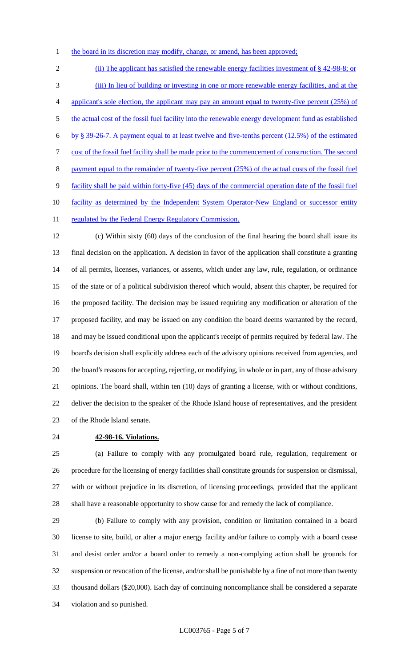1 the board in its discretion may modify, change, or amend, has been approved;

2 (ii) The applicant has satisfied the renewable energy facilities investment of § 42-98-8; or (iii) In lieu of building or investing in one or more renewable energy facilities, and at the 4 applicant's sole election, the applicant may pay an amount equal to twenty-five percent (25%) of 5 the actual cost of the fossil fuel facility into the renewable energy development fund as established by § 39-26-7. A payment equal to at least twelve and five-tenths percent (12.5%) of the estimated cost of the fossil fuel facility shall be made prior to the commencement of construction. The second 8 payment equal to the remainder of twenty-five percent (25%) of the actual costs of the fossil fuel facility shall be paid within forty-five (45) days of the commercial operation date of the fossil fuel 10 facility as determined by the Independent System Operator-New England or successor entity 11 regulated by the Federal Energy Regulatory Commission.

 (c) Within sixty (60) days of the conclusion of the final hearing the board shall issue its final decision on the application. A decision in favor of the application shall constitute a granting of all permits, licenses, variances, or assents, which under any law, rule, regulation, or ordinance of the state or of a political subdivision thereof which would, absent this chapter, be required for the proposed facility. The decision may be issued requiring any modification or alteration of the proposed facility, and may be issued on any condition the board deems warranted by the record, and may be issued conditional upon the applicant's receipt of permits required by federal law. The board's decision shall explicitly address each of the advisory opinions received from agencies, and the board's reasons for accepting, rejecting, or modifying, in whole or in part, any of those advisory opinions. The board shall, within ten (10) days of granting a license, with or without conditions, deliver the decision to the speaker of the Rhode Island house of representatives, and the president of the Rhode Island senate.

**42-98-16. Violations.**

 (a) Failure to comply with any promulgated board rule, regulation, requirement or procedure for the licensing of energy facilities shall constitute grounds for suspension or dismissal, with or without prejudice in its discretion, of licensing proceedings, provided that the applicant shall have a reasonable opportunity to show cause for and remedy the lack of compliance.

 (b) Failure to comply with any provision, condition or limitation contained in a board license to site, build, or alter a major energy facility and/or failure to comply with a board cease and desist order and/or a board order to remedy a non-complying action shall be grounds for suspension or revocation of the license, and/or shall be punishable by a fine of not more than twenty thousand dollars (\$20,000). Each day of continuing noncompliance shall be considered a separate violation and so punished.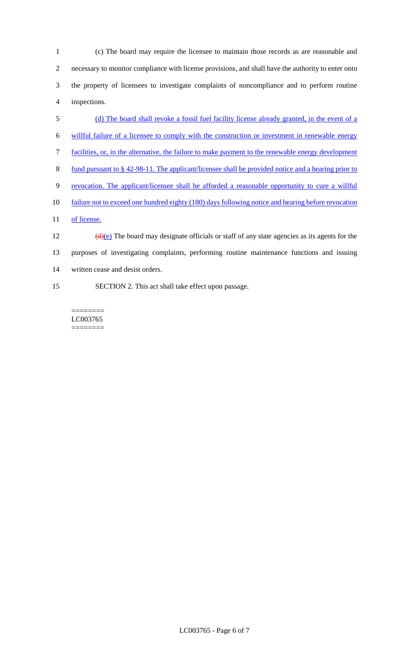(c) The board may require the licensee to maintain those records as are reasonable and necessary to monitor compliance with license provisions, and shall have the authority to enter onto the property of licensees to investigate complaints of noncompliance and to perform routine inspections.

- (d) The board shall revoke a fossil fuel facility license already granted, in the event of a
- willful failure of a licensee to comply with the construction or investment in renewable energy
- facilities, or, in the alternative, the failure to make payment to the renewable energy development
- fund pursuant to § 42-98-11. The applicant/licensee shall be provided notice and a hearing prior to
- revocation. The applicant/licensee shall be afforded a reasonable opportunity to cure a willful
- failure not to exceed one hundred eighty (180) days following notice and hearing before revocation
- 11 of license.

 $\left(\frac{d}{e}\right)$  The board may designate officials or staff of any state agencies as its agents for the purposes of investigating complaints, performing routine maintenance functions and issuing written cease and desist orders.

SECTION 2. This act shall take effect upon passage.

======== LC003765 ========